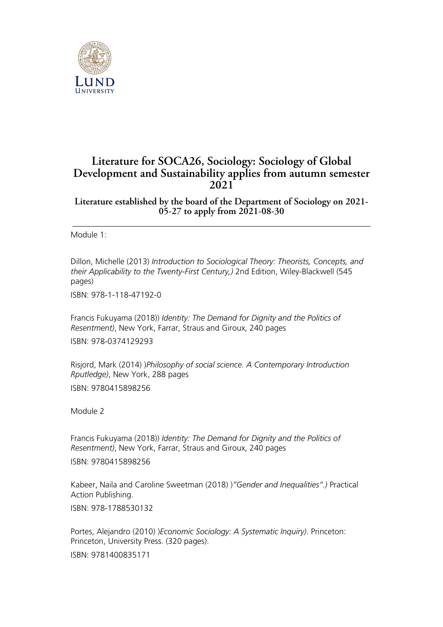

## **Literature for SOCA26, Sociology: Sociology of Global Development and Sustainability applies from autumn semester 2021**

**Literature established by the board of the Department of Sociology on 2021- 05-27 to apply from 2021-08-30**

Module 1<sup>-</sup>

Dillon, Michelle (2013) *Introduction to Sociological Theory: Theorists, Concepts, and their Applicability to the Twenty-First Century,)* 2nd Edition, Wiley-Blackwell (545 pages)

ISBN: 978-1-118-47192-0

Francis Fukuyama (2018)) *Identity: The Demand for Dignity and the Politics of Resentment)*, New York, Farrar, Straus and Giroux, 240 pages

ISBN: 978-0374129293

Risjord, Mark (2014) )*Philosophy of social science. A Contemporary Introduction Rputledge)*, New York, 288 pages ISBN: 9780415898256

Module 2

Francis Fukuyama (2018)) *Identity: The Demand for Dignity and the Politics of Resentment)*, New York, Farrar, Straus and Giroux, 240 pages ISBN: 9780415898256

Kabeer, Naila and Caroline Sweetman (2018) )*"Gender and Inequalities".)* Practical Action Publishing.

ISBN: 978-1788530132

Portes, Alejandro (2010) )*Economic Sociology: A Systematic Inquiry)*. Princeton: Princeton, University Press. (320 pages). ISBN: 9781400835171